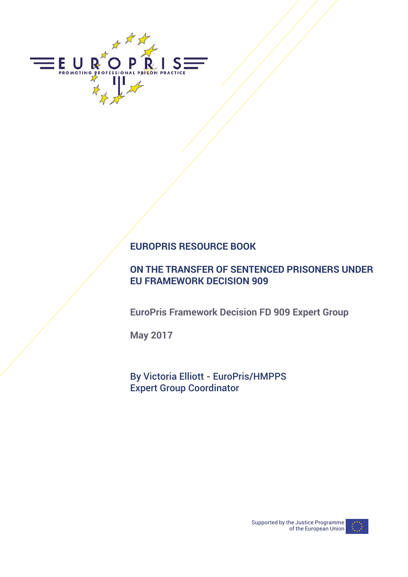

# **EUROPRIS RESOURCE BOOK**

## **ON THE TRANSFER OF SENTENCED PRISONERS UNDER EU FRAMEWORK DECISION 909**

**EuroPris Framework Decision FD 909 Expert Group** 

**May 2017**

By Victoria Elliott - EuroPris/HMPPS Expert Group Coordinator

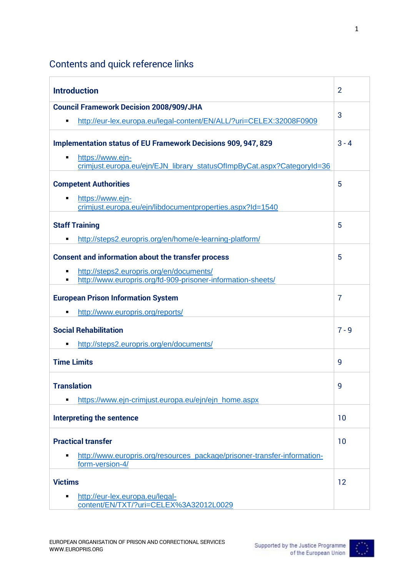# Contents and quick reference links

| <b>Introduction</b>                                                                                           | 2              |
|---------------------------------------------------------------------------------------------------------------|----------------|
| <b>Council Framework Decision 2008/909/JHA</b>                                                                |                |
| http://eur-lex.europa.eu/legal-content/EN/ALL/?uri=CELEX:32008F0909<br>٠                                      | 3              |
| <b>Implementation status of EU Framework Decisions 909, 947, 829</b><br>https://www.ejn-<br>٠                 | $3 - 4$        |
| crimjust.europa.eu/ejn/EJN_library_statusOfImpByCat.aspx?CategoryId=36                                        |                |
| <b>Competent Authorities</b>                                                                                  | 5              |
| https://www.ejn-<br>$\blacksquare$<br>crimjust.europa.eu/ejn/libdocumentproperties.aspx?Id=1540               |                |
| <b>Staff Training</b><br>http://steps2.europris.org/en/home/e-learning-platform/<br>п                         | 5              |
| <b>Consent and information about the transfer process</b>                                                     | 5              |
| http://steps2.europris.org/en/documents/<br>٠<br>http://www.europris.org/fd-909-prisoner-information-sheets/  |                |
| <b>European Prison Information System</b>                                                                     | $\overline{7}$ |
| http://www.europris.org/reports/<br>п                                                                         |                |
| <b>Social Rehabilitation</b>                                                                                  | $7 - 9$        |
| http://steps2.europris.org/en/documents/                                                                      |                |
| <b>Time Limits</b>                                                                                            | 9              |
| <b>Translation</b>                                                                                            | 9              |
| https://www.ejn-crimjust.europa.eu/ejn/ejn_home.aspx<br>٠                                                     |                |
| <b>Interpreting the sentence</b>                                                                              | 10             |
| <b>Practical transfer</b>                                                                                     | 10             |
| http://www.europris.org/resources_package/prisoner-transfer-information-<br>$\blacksquare$<br>form-version-4/ |                |
| <b>Victims</b>                                                                                                | 12             |
| http://eur-lex.europa.eu/legal-<br>٠<br>content/EN/TXT/?uri=CELEX%3A32012L0029                                |                |

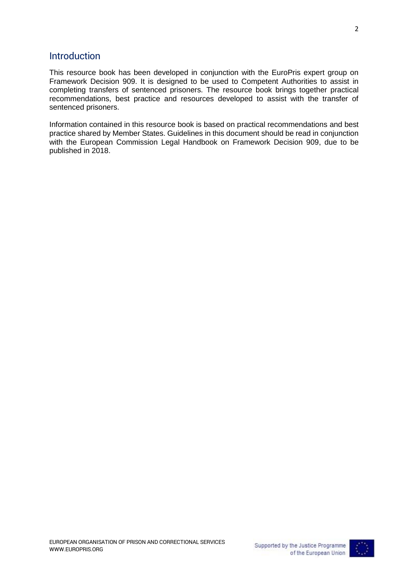#### Introduction

This resource book has been developed in conjunction with the EuroPris expert group on Framework Decision 909. It is designed to be used to Competent Authorities to assist in completing transfers of sentenced prisoners. The resource book brings together practical recommendations, best practice and resources developed to assist with the transfer of sentenced prisoners.

Information contained in this resource book is based on practical recommendations and best practice shared by Member States. Guidelines in this document should be read in conjunction with the European Commission Legal Handbook on Framework Decision 909, due to be published in 2018.

2

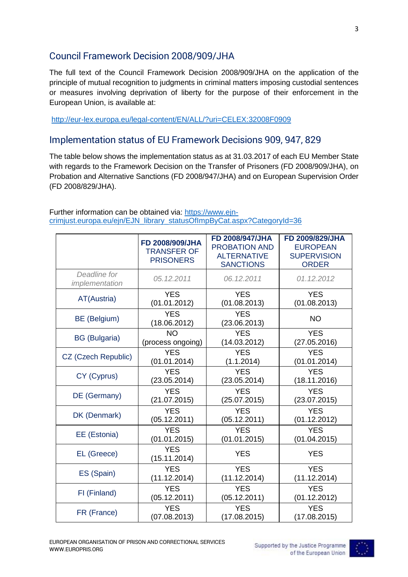## Council Framework Decision 2008/909/JHA

The full text of the Council Framework Decision 2008/909/JHA on the application of the principle of mutual recognition to judgments in criminal matters imposing custodial sentences or measures involving deprivation of liberty for the purpose of their enforcement in the European Union, is available at:

<http://eur-lex.europa.eu/legal-content/EN/ALL/?uri=CELEX:32008F0909>

### Implementation status of EU Framework Decisions 909, 947, 829

The table below shows the implementation status as at 31.03.2017 of each EU Member State with regards to the Framework Decision on the Transfer of Prisoners (FD 2008/909/JHA), on Probation and Alternative Sanctions (FD 2008/947/JHA) and on European Supervision Order (FD 2008/829/JHA).

| Further information can be obtained via: https://www.ejn-              |  |
|------------------------------------------------------------------------|--|
| crimjust.europa.eu/ejn/EJN library statusOfImpByCat.aspx?CategoryId=36 |  |

|                                | FD 2008/909/JHA<br><b>TRANSFER OF</b><br><b>PRISONERS</b> | FD 2008/947/JHA<br><b>PROBATION AND</b><br><b>ALTERNATIVE</b><br><b>SANCTIONS</b> | FD 2009/829/JHA<br><b>EUROPEAN</b><br><b>SUPERVISION</b><br><b>ORDER</b> |
|--------------------------------|-----------------------------------------------------------|-----------------------------------------------------------------------------------|--------------------------------------------------------------------------|
| Deadline for<br>implementation | 05.12.2011                                                | 06.12.2011                                                                        | 01.12.2012                                                               |
| AT(Austria)                    | <b>YES</b>                                                | <b>YES</b>                                                                        | <b>YES</b>                                                               |
|                                | (01.01.2012)                                              | (01.08.2013)                                                                      | (01.08.2013)                                                             |
| BE (Belgium)                   | <b>YES</b><br>(18.06.2012)                                | <b>YES</b><br>(23.06.2013)                                                        | <b>NO</b>                                                                |
| <b>BG</b> (Bulgaria)           | <b>NO</b>                                                 | <b>YES</b>                                                                        | <b>YES</b>                                                               |
|                                | (process ongoing)                                         | (14.03.2012)                                                                      | (27.05.2016)                                                             |
| CZ (Czech Republic)            | <b>YES</b>                                                | <b>YES</b>                                                                        | <b>YES</b>                                                               |
|                                | (01.01.2014)                                              | (1.1.2014)                                                                        | (01.01.2014)                                                             |
| CY (Cyprus)                    | <b>YES</b>                                                | <b>YES</b>                                                                        | <b>YES</b>                                                               |
|                                | (23.05.2014)                                              | (23.05.2014)                                                                      | (18.11.2016)                                                             |
| DE (Germany)                   | <b>YES</b>                                                | <b>YES</b>                                                                        | <b>YES</b>                                                               |
|                                | (21.07.2015)                                              | (25.07.2015)                                                                      | (23.07.2015)                                                             |
| DK (Denmark)                   | <b>YES</b>                                                | <b>YES</b>                                                                        | <b>YES</b>                                                               |
|                                | (05.12.2011)                                              | (05.12.2011)                                                                      | (01.12.2012)                                                             |
| EE (Estonia)                   | <b>YES</b>                                                | <b>YES</b>                                                                        | <b>YES</b>                                                               |
|                                | (01.01.2015)                                              | (01.01.2015)                                                                      | (01.04.2015)                                                             |
| EL (Greece)                    | <b>YES</b><br>(15.11.2014)                                | <b>YES</b>                                                                        | <b>YES</b>                                                               |
| ES (Spain)                     | <b>YES</b>                                                | <b>YES</b>                                                                        | <b>YES</b>                                                               |
|                                | (11.12.2014)                                              | (11.12.2014)                                                                      | (11.12.2014)                                                             |
| FI (Finland)                   | <b>YES</b>                                                | <b>YES</b>                                                                        | <b>YES</b>                                                               |
|                                | (05.12.2011)                                              | (05.12.2011)                                                                      | (01.12.2012)                                                             |
| FR (France)                    | <b>YES</b>                                                | <b>YES</b>                                                                        | <b>YES</b>                                                               |
|                                | (07.08.2013)                                              | (17.08.2015)                                                                      | (17.08.2015)                                                             |

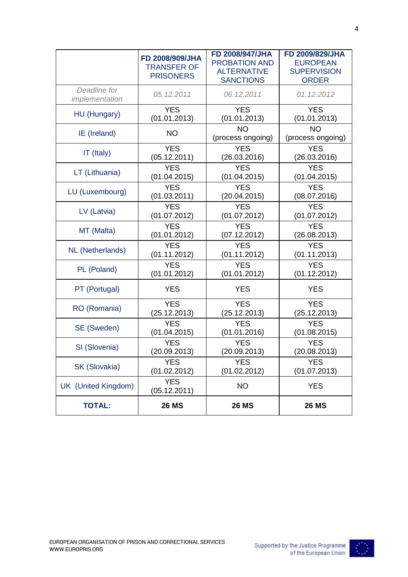|                                | FD 2008/909/JHA<br><b>TRANSFER OF</b><br><b>PRISONERS</b> | FD 2008/947/JHA<br><b>PROBATION AND</b><br><b>ALTERNATIVE</b><br><b>SANCTIONS</b> | FD 2009/829/JHA<br><b>EUROPEAN</b><br><b>SUPERVISION</b><br><b>ORDER</b> |
|--------------------------------|-----------------------------------------------------------|-----------------------------------------------------------------------------------|--------------------------------------------------------------------------|
| Deadline for<br>implementation | 05.12.2011                                                | 06.12.2011                                                                        | 01.12.2012                                                               |
| HU (Hungary)                   | <b>YES</b>                                                | <b>YES</b>                                                                        | <b>YES</b>                                                               |
|                                | (01.01.2013)                                              | (01.01.2013)                                                                      | (01.01.2013)                                                             |
| IE (Ireland)                   | <b>NO</b>                                                 | <b>NO</b><br>(process ongoing)                                                    | <b>NO</b><br>(process ongoing)                                           |
| IT (Italy)                     | <b>YES</b>                                                | <b>YES</b>                                                                        | <b>YES</b>                                                               |
|                                | (05.12.2011)                                              | (26.03.2016)                                                                      | (26.03.2016)                                                             |
| LT (Lithuania)                 | <b>YES</b>                                                | <b>YES</b>                                                                        | <b>YES</b>                                                               |
|                                | (01.04.2015)                                              | (01.04.2015)                                                                      | (01.04.2015)                                                             |
| LU (Luxembourg)                | <b>YES</b>                                                | <b>YES</b>                                                                        | <b>YES</b>                                                               |
|                                | (01.03.2011)                                              | (20.04.2015)                                                                      | (08.07.2016)                                                             |
| LV (Latvia)                    | <b>YES</b>                                                | <b>YES</b>                                                                        | <b>YES</b>                                                               |
|                                | (01.07.2012)                                              | (01.07.2012)                                                                      | (01.07.2012)                                                             |
| MT (Malta)                     | <b>YES</b>                                                | <b>YES</b>                                                                        | <b>YES</b>                                                               |
|                                | (01.01.2012)                                              | (07.12.2012)                                                                      | (26.08.2013)                                                             |
| <b>NL</b> (Netherlands)        | <b>YES</b>                                                | <b>YES</b>                                                                        | <b>YES</b>                                                               |
|                                | (01.11.2012)                                              | (01.11.2012)                                                                      | (01.11.2013)                                                             |
| PL (Poland)                    | <b>YES</b>                                                | <b>YES</b>                                                                        | <b>YES</b>                                                               |
|                                | (01.01.2012)                                              | (01.01.2012)                                                                      | (01.12.2012)                                                             |
| PT (Portugal)                  | <b>YES</b>                                                | <b>YES</b>                                                                        | <b>YES</b>                                                               |
| RO (Romania)                   | <b>YES</b>                                                | <b>YES</b>                                                                        | <b>YES</b>                                                               |
|                                | (25.12.2013)                                              | (25.12.2013)                                                                      | (25.12.2013)                                                             |
| SE (Sweden)                    | <b>YES</b>                                                | <b>YES</b>                                                                        | <b>YES</b>                                                               |
|                                | (01.04.2015)                                              | (01.01.2016)                                                                      | (01.08.2015)                                                             |
| SI (Slovenia)                  | <b>YES</b>                                                | <b>YES</b>                                                                        | <b>YES</b>                                                               |
|                                | (20.09.2013)                                              | (20.09.2013)                                                                      | (20.08.2013)                                                             |
| SK (Slovakia)                  | <b>YES</b>                                                | <b>YES</b>                                                                        | <b>YES</b>                                                               |
|                                | (01.02.2012)                                              | (01.02.2012)                                                                      | (01.07.2013)                                                             |
| UK (United Kingdom)            | <b>YES</b><br>(05.12.2011)                                | <b>NO</b>                                                                         | <b>YES</b>                                                               |
| <b>TOTAL:</b>                  | <b>26 MS</b>                                              | <b>26 MS</b>                                                                      | <b>26 MS</b>                                                             |

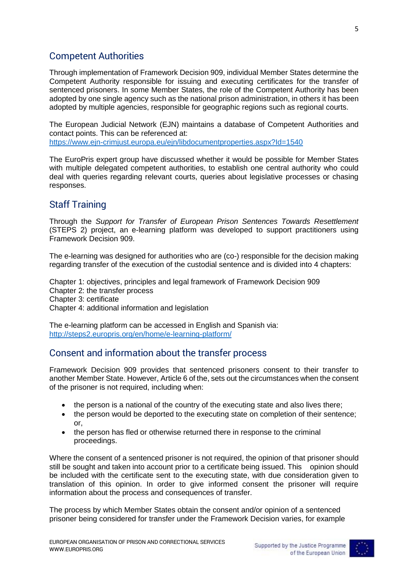### Competent Authorities

Through implementation of Framework Decision 909, individual Member States determine the Competent Authority responsible for issuing and executing certificates for the transfer of sentenced prisoners. In some Member States, the role of the Competent Authority has been adopted by one single agency such as the national prison administration, in others it has been adopted by multiple agencies, responsible for geographic regions such as regional courts.

The European Judicial Network (EJN) maintains a database of Competent Authorities and contact points. This can be referenced at:

<https://www.ejn-crimjust.europa.eu/ejn/libdocumentproperties.aspx?Id=1540>

The EuroPris expert group have discussed whether it would be possible for Member States with multiple delegated competent authorities, to establish one central authority who could deal with queries regarding relevant courts, queries about legislative processes or chasing responses.

#### Staff Training

Through the *Support for Transfer of European Prison Sentences Towards Resettlement* (STEPS 2) project, an e-learning platform was developed to support practitioners using Framework Decision 909.

The e-learning was designed for authorities who are (co-) responsible for the decision making regarding transfer of the execution of the custodial sentence and is divided into 4 chapters:

Chapter 1: objectives, principles and legal framework of Framework Decision 909 Chapter 2: the transfer process Chapter 3: certificate Chapter 4: additional information and legislation

The e-learning platform can be accessed in English and Spanish via: <http://steps2.europris.org/en/home/e-learning-platform/>

### Consent and information about the transfer process

Framework Decision 909 provides that sentenced prisoners consent to their transfer to another Member State. However, Article 6 of the, sets out the circumstances when the consent of the prisoner is not required, including when:

- the person is a national of the country of the executing state and also lives there;
- the person would be deported to the executing state on completion of their sentence;  $\alpha$ r
- the person has fled or otherwise returned there in response to the criminal proceedings.

Where the consent of a sentenced prisoner is not required, the opinion of that prisoner should still be sought and taken into account prior to a certificate being issued. This opinion should be included with the certificate sent to the executing state, with due consideration given to translation of this opinion. In order to give informed consent the prisoner will require information about the process and consequences of transfer.

The process by which Member States obtain the consent and/or opinion of a sentenced prisoner being considered for transfer under the Framework Decision varies, for example

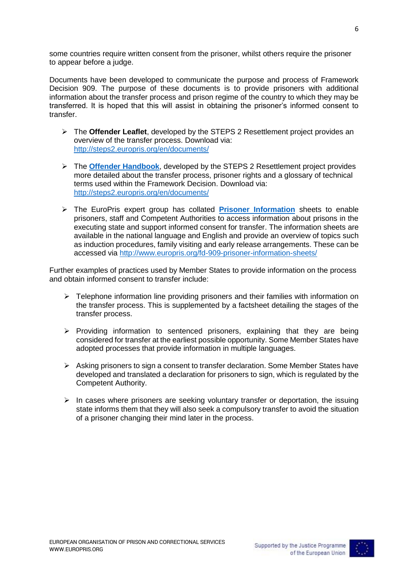some countries require written consent from the prisoner, whilst others require the prisoner to appear before a judge.

Documents have been developed to communicate the purpose and process of Framework Decision 909. The purpose of these documents is to provide prisoners with additional information about the transfer process and prison regime of the country to which they may be transferred. It is hoped that this will assist in obtaining the prisoner's informed consent to transfer.

- The **Offender Leaflet**, developed by the STEPS 2 Resettlement project provides an overview of the transfer process. Download via: <http://steps2.europris.org/en/documents/>
- The **[Offender Handbook](http://steps2.europris.org/wp-content/uploads/2016/07/Annex-4.10.-Workstream-2.2-Offender-Handbook.pdf)**, developed by the STEPS 2 Resettlement project provides more detailed about the transfer process, prisoner rights and a glossary of technical terms used within the Framework Decision. Download via: <http://steps2.europris.org/en/documents/>
- The EuroPris expert group has collated **[Prisoner Information](http://www.europris.org/fd-909-prisoner-information-sheets/)** sheets to enable prisoners, staff and Competent Authorities to access information about prisons in the executing state and support informed consent for transfer. The information sheets are available in the national language and English and provide an overview of topics such as induction procedures, family visiting and early release arrangements. These can be accessed via<http://www.europris.org/fd-909-prisoner-information-sheets/>

Further examples of practices used by Member States to provide information on the process and obtain informed consent to transfer include:

- $\triangleright$  Telephone information line providing prisoners and their families with information on the transfer process. This is supplemented by a factsheet detailing the stages of the transfer process.
- $\triangleright$  Providing information to sentenced prisoners, explaining that they are being considered for transfer at the earliest possible opportunity. Some Member States have adopted processes that provide information in multiple languages.
- $\triangleright$  Asking prisoners to sign a consent to transfer declaration. Some Member States have developed and translated a declaration for prisoners to sign, which is regulated by the Competent Authority.
- $\triangleright$  In cases where prisoners are seeking voluntary transfer or deportation, the issuing state informs them that they will also seek a compulsory transfer to avoid the situation of a prisoner changing their mind later in the process.

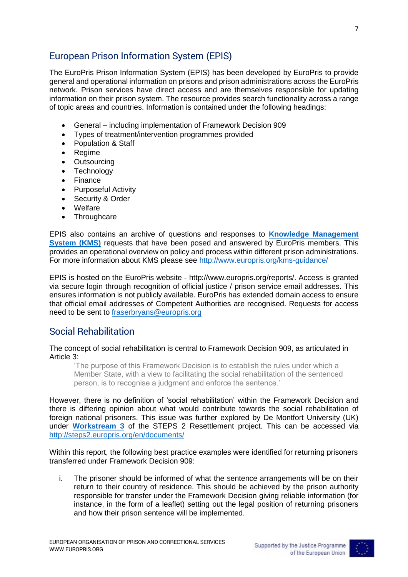## European Prison Information System (EPIS)

The EuroPris Prison Information System (EPIS) has been developed by EuroPris to provide general and operational information on prisons and prison administrations across the EuroPris network. Prison services have direct access and are themselves responsible for updating information on their prison system. The resource provides search functionality across a range of topic areas and countries. Information is contained under the following headings:

- General including implementation of Framework Decision 909
- Types of treatment/intervention programmes provided
- Population & Staff
- Regime
- Outsourcing
- Technology
- Finance
- Purposeful Activity
- Security & Order
- Welfare
- Throughcare

EPIS also contains an archive of questions and responses to **[Knowledge Management](http://www.europris.org/reports/kms/)  [System \(KMS\)](http://www.europris.org/reports/kms/)** requests that have been posed and answered by EuroPris members. This provides an operational overview on policy and process within different prison administrations. For more information about KMS please see<http://www.europris.org/kms-guidance/>

EPIS is hosted on the EuroPris website - http://www.europris.org/reports/. Access is granted via secure login through recognition of official justice / prison service email addresses. This ensures information is not publicly available. EuroPris has extended domain access to ensure that official email addresses of Competent Authorities are recognised. Requests for access need to be sent to [fraserbryans@europris.org](mailto:fraserbryans@europris.org)

### Social Rehabilitation

The concept of social rehabilitation is central to Framework Decision 909, as articulated in Article 3:

'The purpose of this Framework Decision is to establish the rules under which a Member State, with a view to facilitating the social rehabilitation of the sentenced person, is to recognise a judgment and enforce the sentence.'

However, there is no definition of 'social rehabilitation' within the Framework Decision and there is differing opinion about what would contribute towards the social rehabilitation of foreign national prisoners. This issue was further explored by De Montfort University (UK) under **[Workstream 3](http://steps2.europris.org/wp-content/uploads/2016/07/Annex-4.12.-Workstream-3-Social-Rehabilitation-Through-the-Prison-Gate.pdf)** of the STEPS 2 Resettlement project. This can be accessed via <http://steps2.europris.org/en/documents/>

Within this report, the following best practice examples were identified for returning prisoners transferred under Framework Decision 909:

i. The prisoner should be informed of what the sentence arrangements will be on their return to their country of residence. This should be achieved by the prison authority responsible for transfer under the Framework Decision giving reliable information (for instance, in the form of a leaflet) setting out the legal position of returning prisoners and how their prison sentence will be implemented.

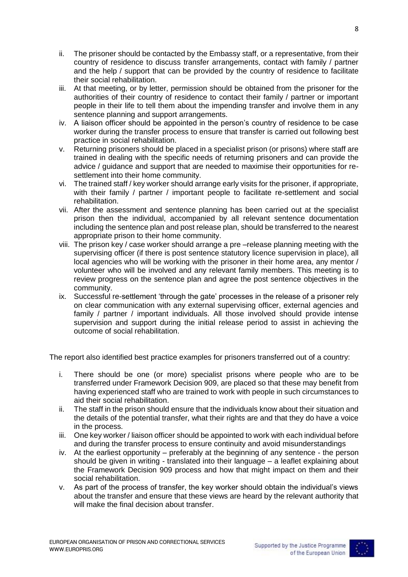- ii. The prisoner should be contacted by the Embassy staff, or a representative, from their country of residence to discuss transfer arrangements, contact with family / partner and the help / support that can be provided by the country of residence to facilitate their social rehabilitation.
- iii. At that meeting, or by letter, permission should be obtained from the prisoner for the authorities of their country of residence to contact their family / partner or important people in their life to tell them about the impending transfer and involve them in any sentence planning and support arrangements.
- iv. A liaison officer should be appointed in the person's country of residence to be case worker during the transfer process to ensure that transfer is carried out following best practice in social rehabilitation.
- v. Returning prisoners should be placed in a specialist prison (or prisons) where staff are trained in dealing with the specific needs of returning prisoners and can provide the advice / guidance and support that are needed to maximise their opportunities for resettlement into their home community.
- vi. The trained staff / key worker should arrange early visits for the prisoner, if appropriate, with their family / partner / important people to facilitate re-settlement and social rehabilitation.
- vii. After the assessment and sentence planning has been carried out at the specialist prison then the individual, accompanied by all relevant sentence documentation including the sentence plan and post release plan, should be transferred to the nearest appropriate prison to their home community.
- viii. The prison key / case worker should arrange a pre –release planning meeting with the supervising officer (if there is post sentence statutory licence supervision in place), all local agencies who will be working with the prisoner in their home area, any mentor / volunteer who will be involved and any relevant family members. This meeting is to review progress on the sentence plan and agree the post sentence objectives in the community.
- ix. Successful re-settlement 'through the gate' processes in the release of a prisoner rely on clear communication with any external supervising officer, external agencies and family / partner / important individuals. All those involved should provide intense supervision and support during the initial release period to assist in achieving the outcome of social rehabilitation.

The report also identified best practice examples for prisoners transferred out of a country:

- i. There should be one (or more) specialist prisons where people who are to be transferred under Framework Decision 909, are placed so that these may benefit from having experienced staff who are trained to work with people in such circumstances to aid their social rehabilitation.
- ii. The staff in the prison should ensure that the individuals know about their situation and the details of the potential transfer, what their rights are and that they do have a voice in the process.
- iii. One key worker / liaison officer should be appointed to work with each individual before and during the transfer process to ensure continuity and avoid misunderstandings
- iv. At the earliest opportunity preferably at the beginning of any sentence the person should be given in writing - translated into their language – a leaflet explaining about the Framework Decision 909 process and how that might impact on them and their social rehabilitation.
- v. As part of the process of transfer, the key worker should obtain the individual's views about the transfer and ensure that these views are heard by the relevant authority that will make the final decision about transfer.



8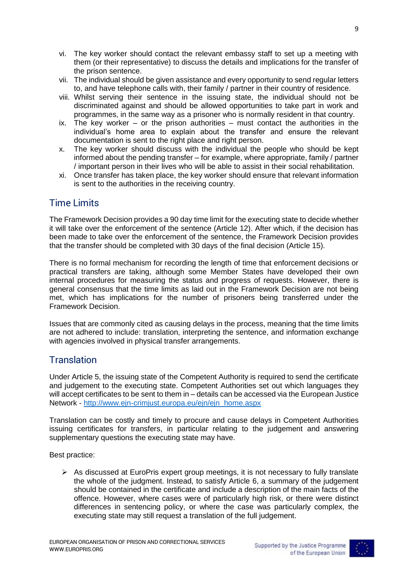- vi. The key worker should contact the relevant embassy staff to set up a meeting with them (or their representative) to discuss the details and implications for the transfer of the prison sentence.
- vii. The individual should be given assistance and every opportunity to send regular letters to, and have telephone calls with, their family / partner in their country of residence.
- viii. Whilst serving their sentence in the issuing state, the individual should not be discriminated against and should be allowed opportunities to take part in work and programmes, in the same way as a prisoner who is normally resident in that country.
- ix. The key worker or the prison authorities must contact the authorities in the individual's home area to explain about the transfer and ensure the relevant documentation is sent to the right place and right person.
- x. The key worker should discuss with the individual the people who should be kept informed about the pending transfer – for example, where appropriate, family / partner / important person in their lives who will be able to assist in their social rehabilitation.
- xi. Once transfer has taken place, the key worker should ensure that relevant information is sent to the authorities in the receiving country.

## Time Limits

The Framework Decision provides a 90 day time limit for the executing state to decide whether it will take over the enforcement of the sentence (Article 12). After which, if the decision has been made to take over the enforcement of the sentence, the Framework Decision provides that the transfer should be completed with 30 days of the final decision (Article 15).

There is no formal mechanism for recording the length of time that enforcement decisions or practical transfers are taking, although some Member States have developed their own internal procedures for measuring the status and progress of requests. However, there is general consensus that the time limits as laid out in the Framework Decision are not being met, which has implications for the number of prisoners being transferred under the Framework Decision.

Issues that are commonly cited as causing delays in the process, meaning that the time limits are not adhered to include: translation, interpreting the sentence, and information exchange with agencies involved in physical transfer arrangements.

## **Translation**

Under Article 5, the issuing state of the Competent Authority is required to send the certificate and judgement to the executing state. Competent Authorities set out which languages they will accept certificates to be sent to them in – details can be accessed via the European Justice Network - [http://www.ejn-crimjust.europa.eu/ejn/ejn\\_home.aspx](http://www.ejn-crimjust.europa.eu/ejn/ejn_home.aspx)

Translation can be costly and timely to procure and cause delays in Competent Authorities issuing certificates for transfers, in particular relating to the judgement and answering supplementary questions the executing state may have.

Best practice:

 $\triangleright$  As discussed at EuroPris expert group meetings, it is not necessary to fully translate the whole of the judgment. Instead, to satisfy Article 6, a summary of the judgement should be contained in the certificate and include a description of the main facts of the offence. However, where cases were of particularly high risk, or there were distinct differences in sentencing policy, or where the case was particularly complex, the executing state may still request a translation of the full judgement.

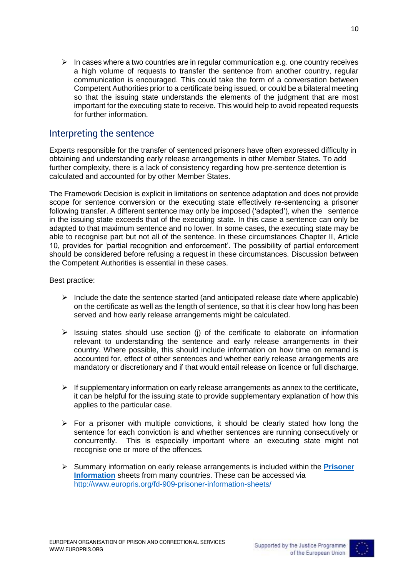$\triangleright$  In cases where a two countries are in regular communication e.g. one country receives a high volume of requests to transfer the sentence from another country, regular communication is encouraged. This could take the form of a conversation between Competent Authorities prior to a certificate being issued, or could be a bilateral meeting so that the issuing state understands the elements of the judgment that are most important for the executing state to receive. This would help to avoid repeated requests

#### Interpreting the sentence

for further information.

Experts responsible for the transfer of sentenced prisoners have often expressed difficulty in obtaining and understanding early release arrangements in other Member States. To add further complexity, there is a lack of consistency regarding how pre-sentence detention is calculated and accounted for by other Member States.

The Framework Decision is explicit in limitations on sentence adaptation and does not provide scope for sentence conversion or the executing state effectively re-sentencing a prisoner following transfer. A different sentence may only be imposed ('adapted'), when the sentence in the issuing state exceeds that of the executing state. In this case a sentence can only be adapted to that maximum sentence and no lower. In some cases, the executing state may be able to recognise part but not all of the sentence. In these circumstances Chapter II, Article 10, provides for 'partial recognition and enforcement'. The possibility of partial enforcement should be considered before refusing a request in these circumstances. Discussion between the Competent Authorities is essential in these cases.

#### Best practice:

- $\triangleright$  Include the date the sentence started (and anticipated release date where applicable) on the certificate as well as the length of sentence, so that it is clear how long has been served and how early release arrangements might be calculated.
- $\triangleright$  Issuing states should use section (i) of the certificate to elaborate on information relevant to understanding the sentence and early release arrangements in their country. Where possible, this should include information on how time on remand is accounted for, effect of other sentences and whether early release arrangements are mandatory or discretionary and if that would entail release on licence or full discharge.
- $\triangleright$  If supplementary information on early release arrangements as annex to the certificate. it can be helpful for the issuing state to provide supplementary explanation of how this applies to the particular case.
- $\triangleright$  For a prisoner with multiple convictions, it should be clearly stated how long the sentence for each conviction is and whether sentences are running consecutively or concurrently. This is especially important where an executing state might not recognise one or more of the offences.
- Summary information on early release arrangements is included within the **[Prisoner](http://www.europris.org/fd-909-prisoner-information-sheets/)  [Information](http://www.europris.org/fd-909-prisoner-information-sheets/)** sheets from many countries. These can be accessed via <http://www.europris.org/fd-909-prisoner-information-sheets/>

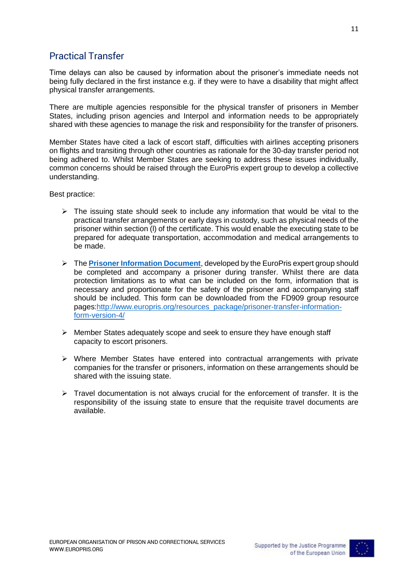## Practical Transfer

Time delays can also be caused by information about the prisoner's immediate needs not being fully declared in the first instance e.g. if they were to have a disability that might affect physical transfer arrangements.

There are multiple agencies responsible for the physical transfer of prisoners in Member States, including prison agencies and Interpol and information needs to be appropriately shared with these agencies to manage the risk and responsibility for the transfer of prisoners.

Member States have cited a lack of escort staff, difficulties with airlines accepting prisoners on flights and transiting through other countries as rationale for the 30-day transfer period not being adhered to. Whilst Member States are seeking to address these issues individually, common concerns should be raised through the EuroPris expert group to develop a collective understanding.

Best practice:

- $\triangleright$  The issuing state should seek to include any information that would be vital to the practical transfer arrangements or early days in custody, such as physical needs of the prisoner within section (l) of the certificate. This would enable the executing state to be prepared for adequate transportation, accommodation and medical arrangements to be made.
- The **[Prisoner Information Document](http://www.europris.org/resources_package/prisoner-transfer-information-form-version-4/)**, developed by the EuroPris expert group should be completed and accompany a prisoner during transfer. Whilst there are data protection limitations as to what can be included on the form, information that is necessary and proportionate for the safety of the prisoner and accompanying staff should be included. This form can be downloaded from the FD909 group resource pages[:http://www.europris.org/resources\\_package/prisoner-transfer-information](http://www.europris.org/resources_package/prisoner-transfer-information-form-version-4/)[form-version-4/](http://www.europris.org/resources_package/prisoner-transfer-information-form-version-4/)
- $\triangleright$  Member States adequately scope and seek to ensure they have enough staff capacity to escort prisoners.
- $\triangleright$  Where Member States have entered into contractual arrangements with private companies for the transfer or prisoners, information on these arrangements should be shared with the issuing state.
- $\triangleright$  Travel documentation is not always crucial for the enforcement of transfer. It is the responsibility of the issuing state to ensure that the requisite travel documents are available.

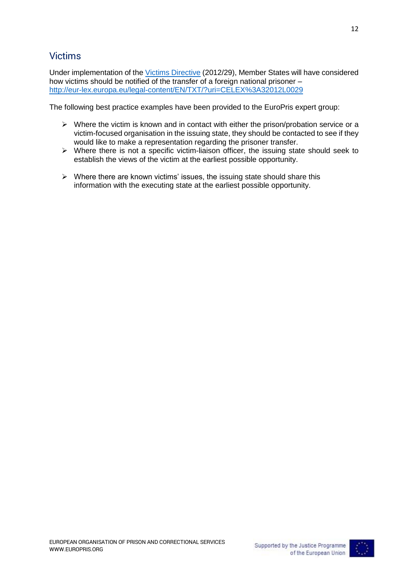## Victims

Under implementation of th[e Victims Directive](http://eur-lex.europa.eu/legal-content/EN/TXT/?uri=CELEX%3A32012L0029) (2012/29), Member States will have considered how victims should be notified of the transfer of a foreign national prisoner – <http://eur-lex.europa.eu/legal-content/EN/TXT/?uri=CELEX%3A32012L0029>

The following best practice examples have been provided to the EuroPris expert group:

- $\triangleright$  Where the victim is known and in contact with either the prison/probation service or a victim-focused organisation in the issuing state, they should be contacted to see if they would like to make a representation regarding the prisoner transfer.
- $\triangleright$  Where there is not a specific victim-liaison officer, the issuing state should seek to establish the views of the victim at the earliest possible opportunity.
- $\triangleright$  Where there are known victims' issues, the issuing state should share this information with the executing state at the earliest possible opportunity.